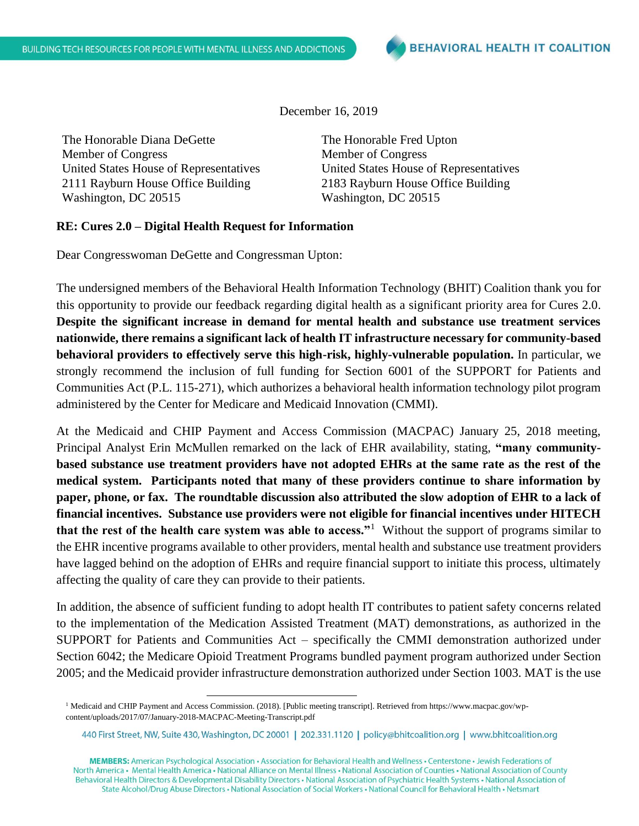December 16, 2019

The Honorable Diana DeGette Member of Congress United States House of Representatives 2111 Rayburn House Office Building Washington, DC 20515

The Honorable Fred Upton Member of Congress United States House of Representatives 2183 Rayburn House Office Building Washington, DC 20515

## **RE: Cures 2.0 – Digital Health Request for Information**

Dear Congresswoman DeGette and Congressman Upton:

The undersigned members of the Behavioral Health Information Technology (BHIT) Coalition thank you for this opportunity to provide our feedback regarding digital health as a significant priority area for Cures 2.0. **Despite the significant increase in demand for mental health and substance use treatment services nationwide, there remains a significant lack of health IT infrastructure necessary for community-based behavioral providers to effectively serve this high-risk, highly-vulnerable population.** In particular, we strongly recommend the inclusion of full funding for Section 6001 of the SUPPORT for Patients and Communities Act (P.L. 115-271), which authorizes a behavioral health information technology pilot program administered by the Center for Medicare and Medicaid Innovation (CMMI).

At the Medicaid and CHIP Payment and Access Commission (MACPAC) January 25, 2018 meeting, Principal Analyst Erin McMullen remarked on the lack of EHR availability, stating, **"many communitybased substance use treatment providers have not adopted EHRs at the same rate as the rest of the medical system. Participants noted that many of these providers continue to share information by paper, phone, or fax. The roundtable discussion also attributed the slow adoption of EHR to a lack of financial incentives. Substance use providers were not eligible for financial incentives under HITECH that the rest of the health care system was able to access."<sup>1</sup> Without the support of programs similar to** the EHR incentive programs available to other providers, mental health and substance use treatment providers have lagged behind on the adoption of EHRs and require financial support to initiate this process, ultimately affecting the quality of care they can provide to their patients.

In addition, the absence of sufficient funding to adopt health IT contributes to patient safety concerns related to the implementation of the Medication Assisted Treatment (MAT) demonstrations, as authorized in the SUPPORT for Patients and Communities Act – specifically the CMMI demonstration authorized under Section 6042; the Medicare Opioid Treatment Programs bundled payment program authorized under Section 2005; and the Medicaid provider infrastructure demonstration authorized under Section 1003. MAT is the use

 $\overline{\phantom{a}}$ 

MEMBERS: American Psychological Association · Association for Behavioral Health and Wellness · Centerstone · Jewish Federations of North America • Mental Health America • National Alliance on Mental Illness • National Association of Counties • National Association of County Behavioral Health Directors & Developmental Disability Directors · National Association of Psychiatric Health Systems · National Association of State Alcohol/Drug Abuse Directors • National Association of Social Workers • National Council for Behavioral Health • Netsmart

<sup>1</sup> Medicaid and CHIP Payment and Access Commission. (2018). [Public meeting transcript]. Retrieved from https://www.macpac.gov/wpcontent/uploads/2017/07/January-2018-MACPAC-Meeting-Transcript.pdf

<sup>440</sup> First Street, NW, Suite 430, Washington, DC 20001 | 202.331.1120 | policy@bhitcoalition.org | www.bhitcoalition.org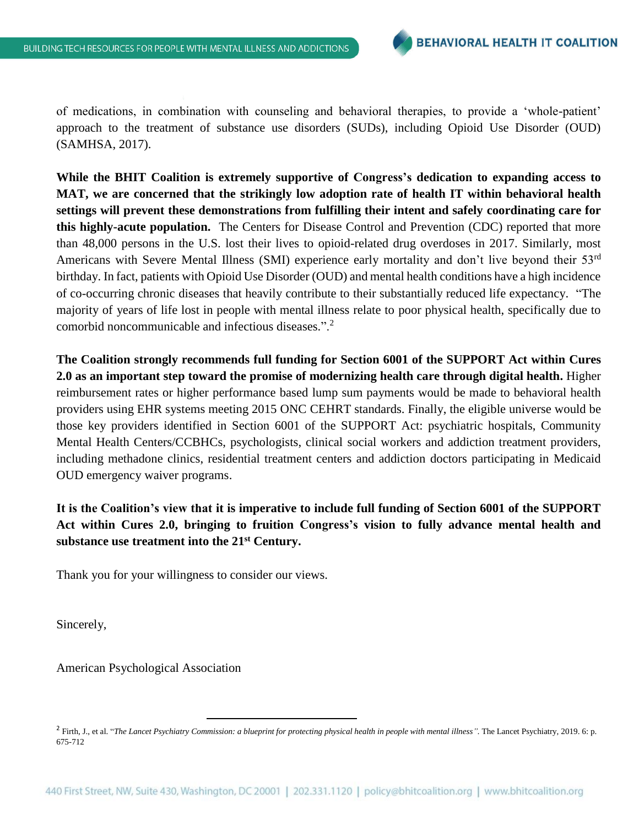of medications, in combination with counseling and behavioral therapies, to provide a 'whole-patient' approach to the treatment of substance use disorders (SUDs), including Opioid Use Disorder (OUD) (SAMHSA, 2017).

**While the BHIT Coalition is extremely supportive of Congress's dedication to expanding access to MAT, we are concerned that the strikingly low adoption rate of health IT within behavioral health settings will prevent these demonstrations from fulfilling their intent and safely coordinating care for this highly-acute population.** The Centers for Disease Control and Prevention (CDC) reported that more than 48,000 persons in the U.S. lost their lives to opioid-related drug overdoses in 2017. Similarly, most Americans with Severe Mental Illness (SMI) experience early mortality and don't live beyond their 53rd birthday. In fact, patients with Opioid Use Disorder (OUD) and mental health conditions have a high incidence of co-occurring chronic diseases that heavily contribute to their substantially reduced life expectancy. "The majority of years of life lost in people with mental illness relate to poor physical health, specifically due to comorbid noncommunicable and infectious diseases.".<sup>2</sup>

**The Coalition strongly recommends full funding for Section 6001 of the SUPPORT Act within Cures 2.0 as an important step toward the promise of modernizing health care through digital health.** Higher reimbursement rates or higher performance based lump sum payments would be made to behavioral health providers using EHR systems meeting 2015 ONC CEHRT standards. Finally, the eligible universe would be those key providers identified in Section 6001 of the SUPPORT Act: psychiatric hospitals, Community Mental Health Centers/CCBHCs, psychologists, clinical social workers and addiction treatment providers, including methadone clinics, residential treatment centers and addiction doctors participating in Medicaid OUD emergency waiver programs.

## **It is the Coalition's view that it is imperative to include full funding of Section 6001 of the SUPPORT Act within Cures 2.0, bringing to fruition Congress's vision to fully advance mental health and substance use treatment into the 21st Century.**

Thank you for your willingness to consider our views.

 $\overline{a}$ 

Sincerely,

American Psychological Association

<sup>2</sup> Firth, J., et al. "*The Lancet Psychiatry Commission: a blueprint for protecting physical health in people with mental illness".* The Lancet Psychiatry, 2019. 6: p. 675-712